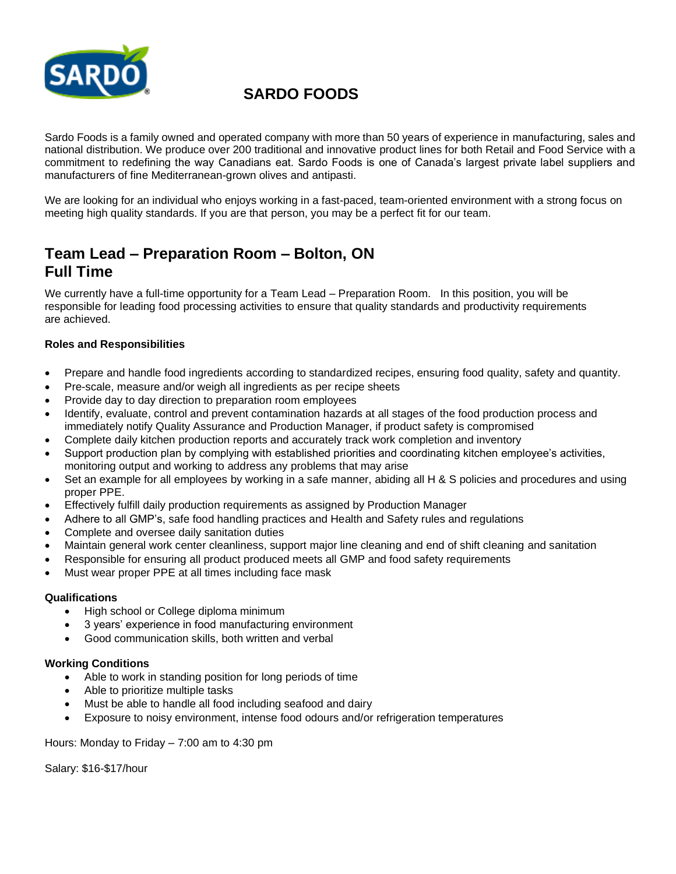

# **SARDO FOODS**

Sardo Foods is a family owned and operated company with more than 50 years of experience in manufacturing, sales and national distribution. We produce over 200 traditional and innovative product lines for both Retail and Food Service with a commitment to redefining the way Canadians eat. Sardo Foods is one of Canada's largest private label suppliers and manufacturers of fine Mediterranean-grown olives and antipasti.

We are looking for an individual who enjoys working in a fast-paced, team-oriented environment with a strong focus on meeting high quality standards. If you are that person, you may be a perfect fit for our team.

## **Team Lead – Preparation Room – Bolton, ON Full Time**

We currently have a full-time opportunity for a Team Lead – Preparation Room. In this position, you will be responsible for leading food processing activities to ensure that quality standards and productivity requirements are achieved.

## **Roles and Responsibilities**

- Prepare and handle food ingredients according to standardized recipes, ensuring food quality, safety and quantity.
- Pre-scale, measure and/or weigh all ingredients as per recipe sheets
- Provide day to day direction to preparation room employees
- Identify, evaluate, control and prevent contamination hazards at all stages of the food production process and immediately notify Quality Assurance and Production Manager, if product safety is compromised
- Complete daily kitchen production reports and accurately track work completion and inventory
- Support production plan by complying with established priorities and coordinating kitchen employee's activities, monitoring output and working to address any problems that may arise
- Set an example for all employees by working in a safe manner, abiding all H & S policies and procedures and using proper PPE.
- Effectively fulfill daily production requirements as assigned by Production Manager
- Adhere to all GMP's, safe food handling practices and Health and Safety rules and regulations
- Complete and oversee daily sanitation duties
- Maintain general work center cleanliness, support major line cleaning and end of shift cleaning and sanitation
- Responsible for ensuring all product produced meets all GMP and food safety requirements
- Must wear proper PPE at all times including face mask

#### **Qualifications**

- High school or College diploma minimum
- 3 years' experience in food manufacturing environment
- Good communication skills, both written and verbal

## **Working Conditions**

- Able to work in standing position for long periods of time
- Able to prioritize multiple tasks
- Must be able to handle all food including seafood and dairy
- Exposure to noisy environment, intense food odours and/or refrigeration temperatures

Hours: Monday to Friday – 7:00 am to 4:30 pm

Salary: \$16-\$17/hour